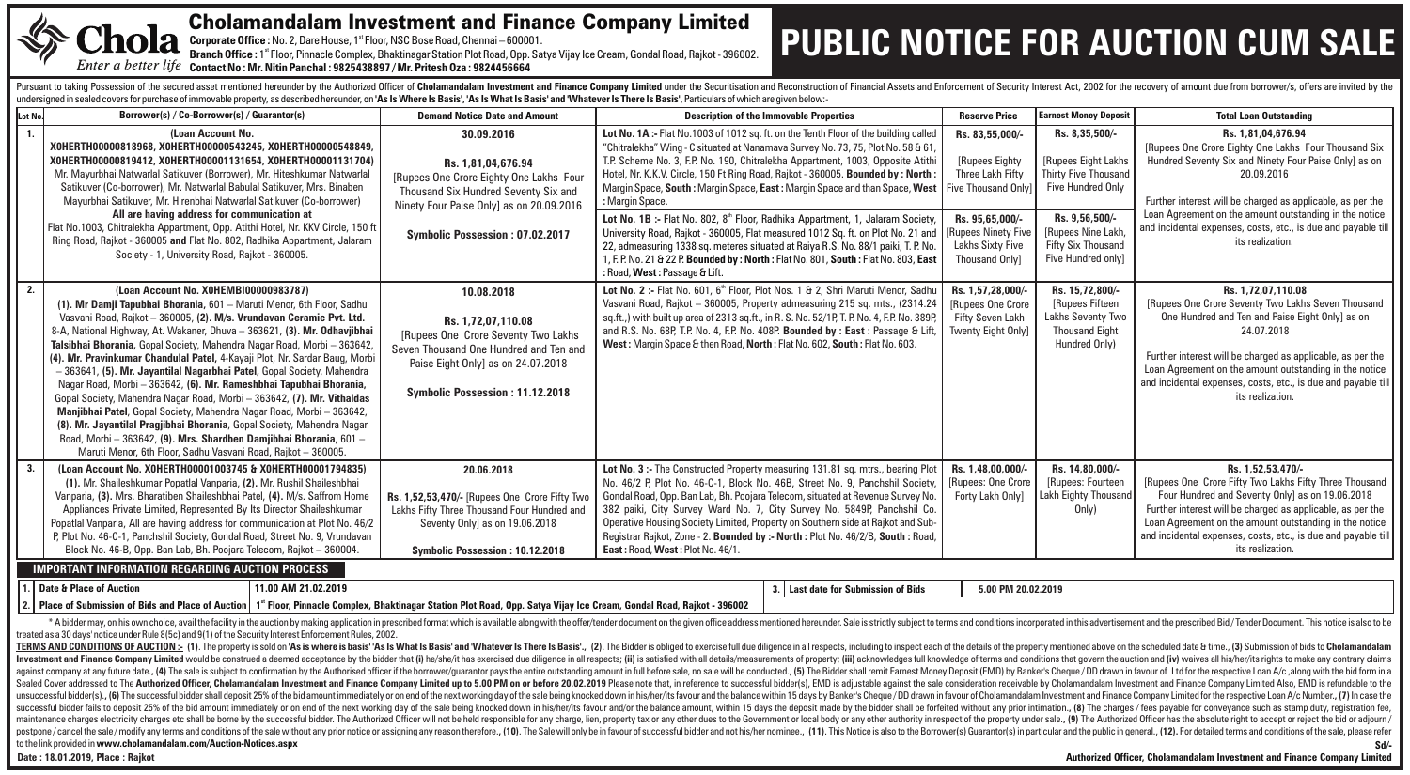

#### Cholamandalam Investment and Finance Company Limited

Corporate Office : No. 2, Dare House, 1<sup>st</sup> Floor, NSC Bose Road, Chennai – 600001.

st **Branch Office :** 1 Floor, Pinnacle Complex, Bhaktinagar Station Plot Road, Opp. Satya Vijay Ice Cream, Gondal Road, Rajkot - 396002. **Contact No : Mr. Nitin Panchal : 9825438897 / Mr. Pritesh Oza : 9824456664** 

## **PUBLIC NOTICE FOR AUCTION CUM SALE**

Pursuant to taking Possession of the secured asset mentioned hereunder by the Authorized Officer of Cholamandalam Investment and Finance Company Limited under the Securitisation and Reconstruction of Financial Assets and E undersigned in sealed covers for purchase of immovable property, as described hereunder, on 'As Is Where Is Basis', 'As Is What Is Basis' and 'Whatever Is There Is Basis', Particulars of which are given below:-

| Lot No.                                                                                                                                                                                                                                                                                                                                                                                                                                                                                                                                                                                                                                                                                                                                                                                                                                                                                                                                                                                                                                                                                                                                                                                                                                                                                                                                                                                                                                                                                                                                                                                                                                                                                                                                                                                                                                                                                                                                                                              | Borrower(s) / Co-Borrower(s) / Guarantor(s)                                                                                                                                                                                                                                                                                                                                                                                                                                                                                                                                                                                                                                                                                                                                                                                                                                                                                                    | <b>Demand Notice Date and Amount</b>                                                                                                                                                               | <b>Description of the Immovable Properties</b>                                                                                                                                                                                                                                                                                                                                                                                                                                                                                                                                                                                                                                                                                                                                                                                              |                                     | <b>Reserve Price</b>                                                                                                                                                      | <b>Earnest Money Deposit</b>                                                                                                                                                               | <b>Total Loan Outstanding</b>                                                                                                                                                                                                                                                                                                                                  |  |  |  |  |
|--------------------------------------------------------------------------------------------------------------------------------------------------------------------------------------------------------------------------------------------------------------------------------------------------------------------------------------------------------------------------------------------------------------------------------------------------------------------------------------------------------------------------------------------------------------------------------------------------------------------------------------------------------------------------------------------------------------------------------------------------------------------------------------------------------------------------------------------------------------------------------------------------------------------------------------------------------------------------------------------------------------------------------------------------------------------------------------------------------------------------------------------------------------------------------------------------------------------------------------------------------------------------------------------------------------------------------------------------------------------------------------------------------------------------------------------------------------------------------------------------------------------------------------------------------------------------------------------------------------------------------------------------------------------------------------------------------------------------------------------------------------------------------------------------------------------------------------------------------------------------------------------------------------------------------------------------------------------------------------|------------------------------------------------------------------------------------------------------------------------------------------------------------------------------------------------------------------------------------------------------------------------------------------------------------------------------------------------------------------------------------------------------------------------------------------------------------------------------------------------------------------------------------------------------------------------------------------------------------------------------------------------------------------------------------------------------------------------------------------------------------------------------------------------------------------------------------------------------------------------------------------------------------------------------------------------|----------------------------------------------------------------------------------------------------------------------------------------------------------------------------------------------------|---------------------------------------------------------------------------------------------------------------------------------------------------------------------------------------------------------------------------------------------------------------------------------------------------------------------------------------------------------------------------------------------------------------------------------------------------------------------------------------------------------------------------------------------------------------------------------------------------------------------------------------------------------------------------------------------------------------------------------------------------------------------------------------------------------------------------------------------|-------------------------------------|---------------------------------------------------------------------------------------------------------------------------------------------------------------------------|--------------------------------------------------------------------------------------------------------------------------------------------------------------------------------------------|----------------------------------------------------------------------------------------------------------------------------------------------------------------------------------------------------------------------------------------------------------------------------------------------------------------------------------------------------------------|--|--|--|--|
| 1.                                                                                                                                                                                                                                                                                                                                                                                                                                                                                                                                                                                                                                                                                                                                                                                                                                                                                                                                                                                                                                                                                                                                                                                                                                                                                                                                                                                                                                                                                                                                                                                                                                                                                                                                                                                                                                                                                                                                                                                   | (Loan Account No.<br>XOHERTH00000818968, XOHERTH00000543245, XOHERTH00000548849,<br>X0HERTH00000819412, X0HERTH00001131654, X0HERTH00001131704)<br>Mr. Mayurbhai Natwarlal Satikuver (Borrower), Mr. Hiteshkumar Natwarlal<br>Satikuver (Co-borrower), Mr. Natwarlal Babulal Satikuver, Mrs. Binaben<br>Mayurbhai Satikuver, Mr. Hirenbhai Natwarlal Satikuver (Co-borrower)<br>All are having address for communication at<br>Flat No.1003, Chitralekha Appartment, Opp. Atithi Hotel, Nr. KKV Circle, 150 ft<br>Ring Road, Rajkot - 360005 and Flat No. 802, Radhika Appartment, Jalaram<br>Society - 1, University Road, Rajkot - 360005.                                                                                                                                                                                                                                                                                                   | 30.09.2016<br>Rs. 1.81.04.676.94<br>[Rupees One Crore Eighty One Lakhs Four<br>Thousand Six Hundred Seventy Six and<br>Ninety Four Paise Onlyl as on 20.09.2016<br>Symbolic Possession: 07.02.2017 | Lot No. 1A :- Flat No. 1003 of 1012 sq. ft. on the Tenth Floor of the building called<br>"Chitralekha" Wing - C situated at Nanamava Survey No. 73, 75, Plot No. 58 & 61,<br>T.P. Scheme No. 3, F.P. No. 190, Chitralekha Appartment, 1003, Opposite Atith<br>Hotel, Nr. K.K.V. Circle, 150 Ft Ring Road, Rajkot - 360005. Bounded by: North:<br>Margin Space, South: Margin Space, East: Margin Space and than Space, West<br>: Margin Space.<br>Lot No. 1B :- Flat No. 802, 8 <sup>th</sup> Floor, Radhika Appartment, 1, Jalaram Society,<br>University Road, Rajkot - 360005, Flat measured 1012 Sq. ft. on Plot No. 21 and<br>22, admeasuring 1338 sq. meteres situated at Raiya R.S. No. 88/1 paiki, T. P. No.<br>1, F. P. No. 21 & 22 P. Bounded by: North: Flat No. 801, South: Flat No. 803, East<br>: Road, West: Passage & Lift. |                                     | Rs. 83,55,000/-<br>[Rupees Eighty<br>Three Lakh Fifty<br>Five Thousand Only<br>Rs. 95.65.000/-<br><b>[Rupees Ninety Five</b><br>Lakhs Sixty Five<br><b>Thousand Only]</b> | Rs. 8,35,500/-<br>[Rupees Eight Lakhs<br><b>Thirty Five Thousand</b><br><b>Five Hundred Only</b><br>Rs. 9.56.500/-<br>[Rupees Nine Lakh<br><b>Fifty Six Thousand</b><br>Five Hundred only] | Rs. 1.81.04.676.94<br>[Rupees One Crore Eighty One Lakhs Four Thousand Six<br>Hundred Seventy Six and Ninety Four Paise Only] as on<br>20.09.2016<br>Further interest will be charged as applicable, as per the<br>Loan Agreement on the amount outstanding in the notice<br>and incidental expenses, costs, etc., is due and payable till<br>its realization. |  |  |  |  |
| 2.                                                                                                                                                                                                                                                                                                                                                                                                                                                                                                                                                                                                                                                                                                                                                                                                                                                                                                                                                                                                                                                                                                                                                                                                                                                                                                                                                                                                                                                                                                                                                                                                                                                                                                                                                                                                                                                                                                                                                                                   | (Loan Account No. X0HEMBI00000983787)<br>(1). Mr Damji Tapubhai Bhorania, 601 - Maruti Menor, 6th Floor, Sadhu<br>Vasvani Road, Rajkot - 360005, (2). M/s. Vrundavan Ceramic Pvt. Ltd.<br>8-A, National Highway, At. Wakaner, Dhuva - 363621, (3). Mr. Odhavjibhai<br>Talsibhai Bhorania, Gopal Society, Mahendra Nagar Road, Morbi - 363642,<br>(4). Mr. Pravinkumar Chandulal Patel, 4-Kayaji Plot, Nr. Sardar Baug, Morb<br>- 363641, (5). Mr. Jayantilal Nagarbhai Patel, Gopal Society, Mahendra<br>Nagar Road, Morbi - 363642, (6), Mr. Rameshbhai Tapubhai Bhorania,<br>Gopal Society, Mahendra Nagar Road, Morbi - 363642, (7). Mr. Vithaldas<br>Manjibhai Patel, Gopal Society, Mahendra Nagar Road, Morbi - 363642,<br>(8). Mr. Jayantilal Pragjibhai Bhorania, Gopal Society, Mahendra Nagar<br>Road, Morbi - 363642, (9). Mrs. Shardben Damjibhai Bhorania, 601 -<br>Maruti Menor, 6th Floor, Sadhu Vasvani Road, Rajkot - 360005. | 10.08.2018<br>Rs. 1.72.07.110.08<br>[Rupees One Crore Seventy Two Lakhs]<br>Seven Thousand One Hundred and Ten and<br>Paise Eight Only] as on 24.07.2018<br>Symbolic Possession: 11.12.2018        | Lot No. 2 :- Flat No. 601, 6 <sup>th</sup> Floor, Plot Nos. 1 & 2, Shri Maruti Menor, Sadhu<br>Vasvani Road, Rajkot - 360005, Property admeasuring 215 sq. mts., (2314.24)<br>sq.ft.,) with built up area of 2313 sq.ft., in R.S. No. 52/1P, T.P. No. 4, F.P. No. 389P<br>and R.S. No. 68P, T.P. No. 4, F.P. No. 408P. Bounded by : East : Passage & Lift,<br>West: Margin Space & then Road, North: Flat No. 602, South: Flat No. 603.                                                                                                                                                                                                                                                                                                                                                                                                     |                                     | Rs. 1.57.28.000/-<br>[Rupees One Crore<br>Fifty Seven Lakh<br><b>Twenty Eight Only]</b>                                                                                   | Rs. 15.72.800/-<br>[Rupees Fifteen<br>Lakhs Seventy Two<br><b>Thousand Eight</b><br>Hundred Only)                                                                                          | Rs. 1.72.07.110.08<br>[Rupees One Crore Seventy Two Lakhs Seven Thousand<br>One Hundred and Ten and Paise Eight Only] as on<br>24.07.2018<br>Further interest will be charged as applicable, as per the<br>Loan Agreement on the amount outstanding in the notice<br>and incidental expenses, costs, etc., is due and payable till<br>its realization.         |  |  |  |  |
| 3.                                                                                                                                                                                                                                                                                                                                                                                                                                                                                                                                                                                                                                                                                                                                                                                                                                                                                                                                                                                                                                                                                                                                                                                                                                                                                                                                                                                                                                                                                                                                                                                                                                                                                                                                                                                                                                                                                                                                                                                   | (Loan Account No. XOHERTH00001003745 & XOHERTH00001794835)<br>(1). Mr. Shaileshkumar Popatlal Vanparia, (2). Mr. Rushil Shaileshbhai<br>Vanparia, (3). Mrs. Bharatiben Shaileshbhai Patel, (4). M/s. Saffrom Home<br>Appliances Private Limited, Represented By Its Director Shaileshkumar<br>Popatlal Vanparia, All are having address for communication at Plot No. 46/2<br>P. Plot No. 46-C-1, Panchshil Society, Gondal Road, Street No. 9, Vrundavan<br>Block No. 46-B, Opp. Ban Lab, Bh. Poojara Telecom, Raikot - 360004.<br><b>IMPORTANT INFORMATION REGARDING AUCTION PROCESS</b>                                                                                                                                                                                                                                                                                                                                                     | 20.06.2018<br>Rs. 1,52,53,470/- [Rupees One Crore Fifty Two<br>Lakhs Fifty Three Thousand Four Hundred and<br>Seventy Only] as on 19.06.2018<br><b>Symbolic Possession: 10.12.2018</b>             | Lot No. 3 :- The Constructed Property measuring 131.81 sq. mtrs., bearing Plot<br>No. 46/2 P, Plot No. 46-C-1, Block No. 46B, Street No. 9, Panchshil Society<br>Gondal Road, Opp. Ban Lab, Bh. Poojara Telecom, situated at Revenue Survey No.<br>382 paiki, City Survey Ward No. 7, City Survey No. 5849P, Panchshil Co.<br>Operative Housing Society Limited, Property on Southern side at Rajkot and Sub-<br>Registrar Rajkot, Zone - 2. Bounded by :- North : Plot No. 46/2/B, South : Road,<br>East: Road, West: Plot No. 46/1.                                                                                                                                                                                                                                                                                                       |                                     | Rs. 1,48,00,000/-<br>[Rupees: One Crore<br>Forty Lakh Only]                                                                                                               | Rs. 14.80.000/-<br>[Rupees: Fourteen<br>Lakh Eighty Thousand<br>Only)                                                                                                                      | Rs. 1.52.53.470/-<br>[Rupees One Crore Fifty Two Lakhs Fifty Three Thousand<br>Four Hundred and Seventy Only] as on 19.06.2018<br>Further interest will be charged as applicable, as per the<br>Loan Agreement on the amount outstanding in the notice<br>and incidental expenses, costs, etc., is due and payable till<br>its realization.                    |  |  |  |  |
|                                                                                                                                                                                                                                                                                                                                                                                                                                                                                                                                                                                                                                                                                                                                                                                                                                                                                                                                                                                                                                                                                                                                                                                                                                                                                                                                                                                                                                                                                                                                                                                                                                                                                                                                                                                                                                                                                                                                                                                      | Date & Place of Auction<br>11.00 AM 21.02.2019                                                                                                                                                                                                                                                                                                                                                                                                                                                                                                                                                                                                                                                                                                                                                                                                                                                                                                 |                                                                                                                                                                                                    |                                                                                                                                                                                                                                                                                                                                                                                                                                                                                                                                                                                                                                                                                                                                                                                                                                             | 3. Last date for Submission of Bids | 5.00 PM 20.02.2019                                                                                                                                                        |                                                                                                                                                                                            |                                                                                                                                                                                                                                                                                                                                                                |  |  |  |  |
|                                                                                                                                                                                                                                                                                                                                                                                                                                                                                                                                                                                                                                                                                                                                                                                                                                                                                                                                                                                                                                                                                                                                                                                                                                                                                                                                                                                                                                                                                                                                                                                                                                                                                                                                                                                                                                                                                                                                                                                      | Place of Submission of Bids and Place of Auction   1" Floor, Pinnacle Complex, Bhaktinagar Station Plot Road, Opp. Satya Vijay Ice Cream, Gondal Road, Rajkot - 396002                                                                                                                                                                                                                                                                                                                                                                                                                                                                                                                                                                                                                                                                                                                                                                         |                                                                                                                                                                                                    |                                                                                                                                                                                                                                                                                                                                                                                                                                                                                                                                                                                                                                                                                                                                                                                                                                             |                                     |                                                                                                                                                                           |                                                                                                                                                                                            |                                                                                                                                                                                                                                                                                                                                                                |  |  |  |  |
| * A bidder may, on his own choice, avail the facility in the auction by making application in prescribed format which is available along with the offer/tender document on the given office address mentioned hereunder. Sale<br>treated as a 30 days' notice under Rule 8(5c) and 9(1) of the Security Interest Enforcement Rules, 2002.<br>TERMS AND CONDITIONS OF AUCTION:- (1). The property is sold on 'As is where is basis''As Is What Is Basis''As Is What Is Basis''As Is What Is Basis''As Is What Is Basis'' and "Whatever Is There Is Basis''. (2). The Bidder<br>Investment and Finance Company Limited would be construed a deemed acceptance by the bidder that (i) he/she/it has exercised due diligence in all respects; (ii) is satisfied with all details/measurements of property; (iii)<br>against company at any future date., (4) The sale is subject to confirmation by the Authorised officer if the borrower/quarantor pays the entire outstanding amount in full before sale, no sale will be conducted., (5) The B<br>Sealed Cover addressed to The Authorized Officer. Cholamandalam Investment and Finance Company Limited up to 5.00 PM on or before 20.02.2019 Please note that. in reference to successful bidder(s). EMD is adjustable against<br>unsuccessful bidder(s)., (6) The successful bidder shall deposit 25% of the bid amount immediately or on end of the next working day of the sale being knocked down in his/her/its favour and the balance within 15 days by Ba<br>successful bidder fails to deposit 25% of the bid amount immediately or on end of the next working day of the sale being knocked down in his/her/its favour and/or the balance amount, within 15 days the deposit made by the<br>maintenance charges electricity charges etc shall be borne by the successful bidder. The Authorized Officer will not be held responsible for any charge, lien, property tax or any other dues to the Government or local body |                                                                                                                                                                                                                                                                                                                                                                                                                                                                                                                                                                                                                                                                                                                                                                                                                                                                                                                                                |                                                                                                                                                                                                    |                                                                                                                                                                                                                                                                                                                                                                                                                                                                                                                                                                                                                                                                                                                                                                                                                                             |                                     |                                                                                                                                                                           |                                                                                                                                                                                            |                                                                                                                                                                                                                                                                                                                                                                |  |  |  |  |

postpone / cancel the sale / modify any terms and conditions of the sale without any prior notice or assigning any reason therefore., (10). The Sale will only be in favour of successful bidder and not his/her nominee., (11

to the link provided in **www.cholamandalam.com/Auction-Notices.aspx**